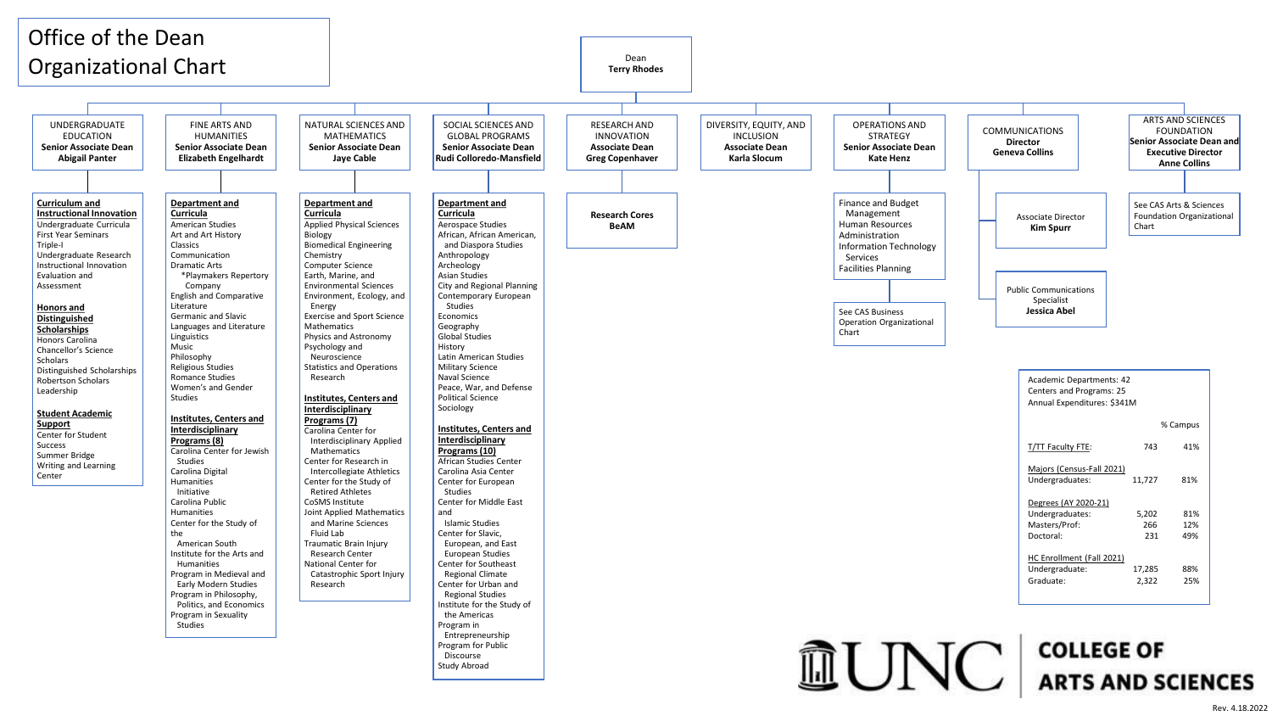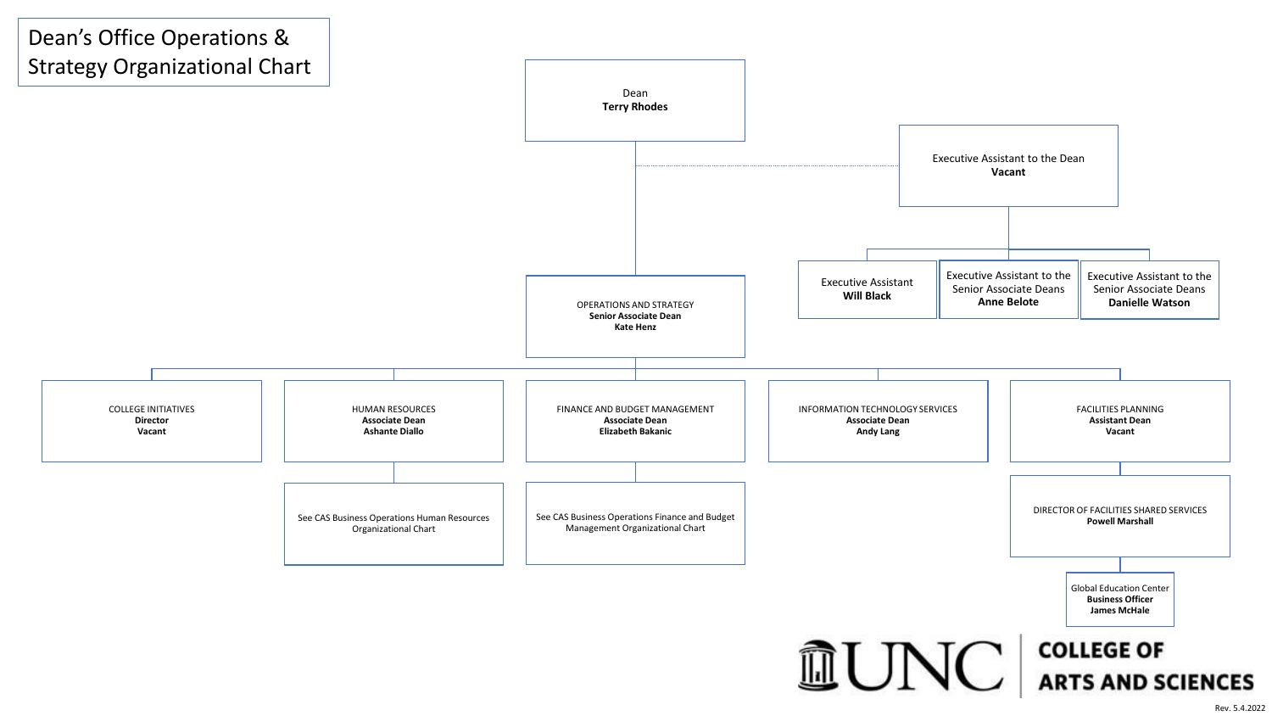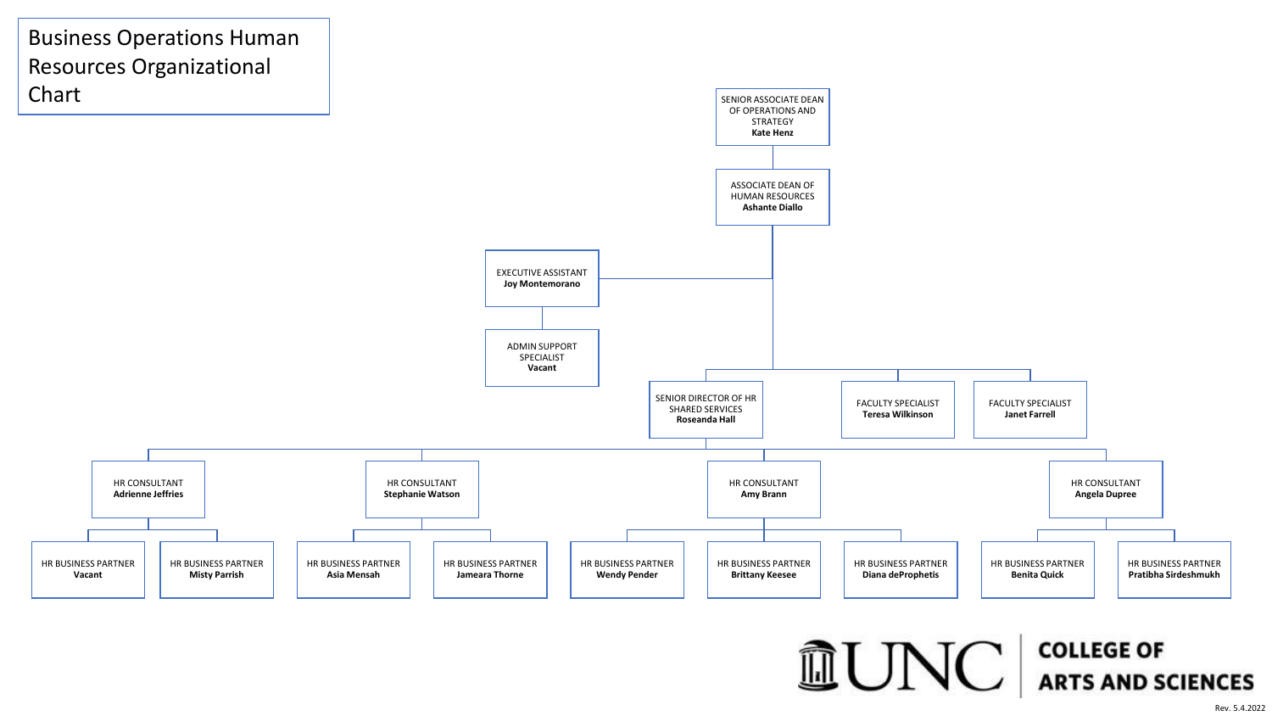

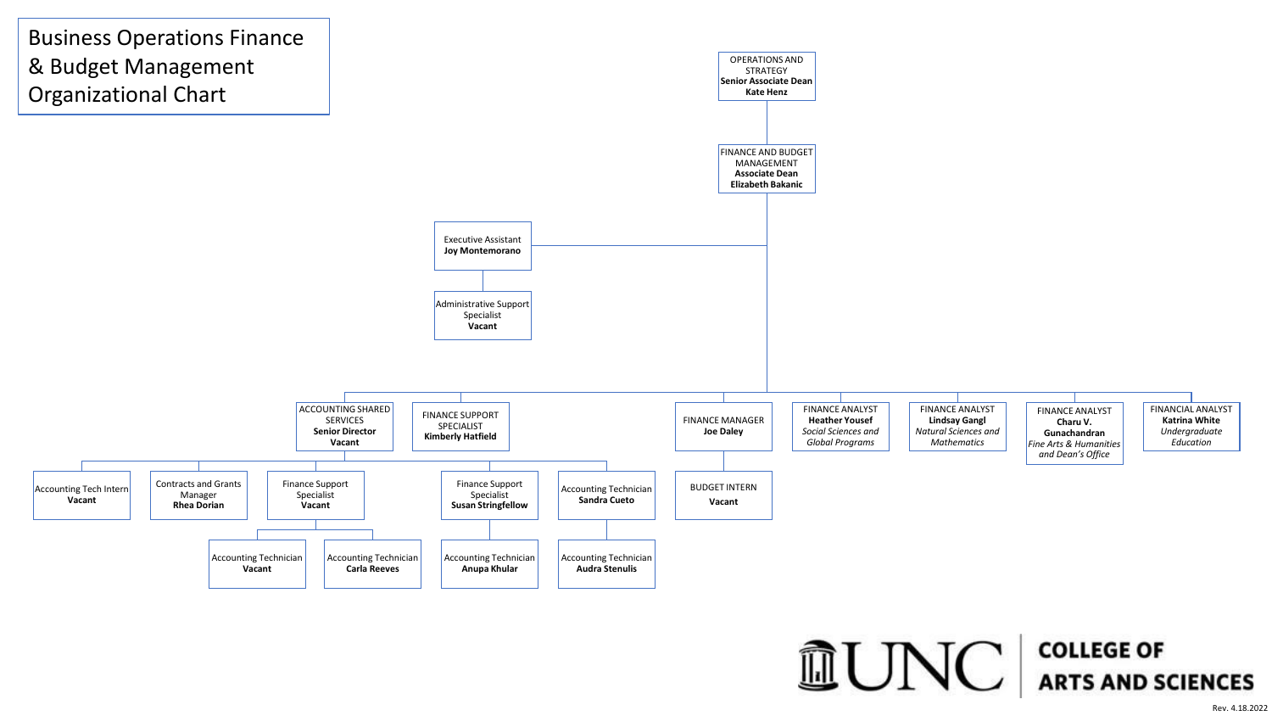

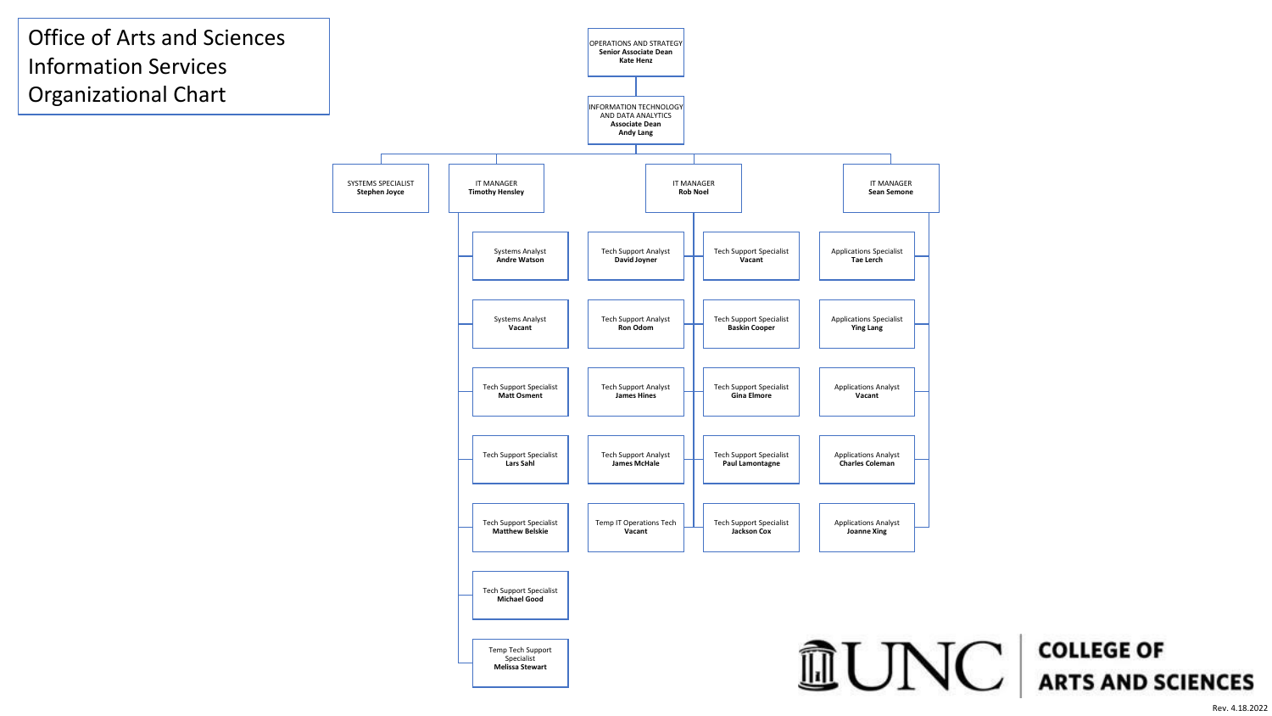